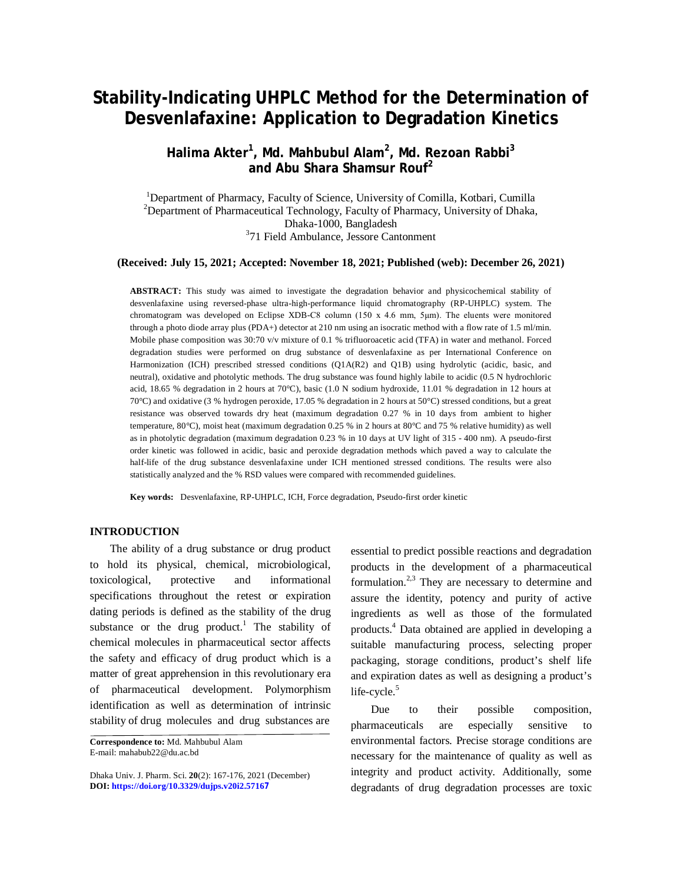# **Stability-Indicating UHPLC Method for the Determination of Desvenlafaxine: Application to Degradation Kinetics**

# **Halima Akter<sup>1</sup> , Md. Mahbubul Alam<sup>2</sup> , Md. Rezoan Rabbi<sup>3</sup> and Abu Shara Shamsur Rouf<sup>2</sup>**

<sup>1</sup>Department of Pharmacy, Faculty of Science, University of Comilla, Kotbari, Cumilla <sup>2</sup>Department of Pharmaceutical Technology, Faculty of Pharmacy, University of Dhaka, Dhaka-1000, Bangladesh 3 71 Field Ambulance, Jessore Cantonment

#### **(Received: July 15, 2021; Accepted: November 18, 2021; Published (web): December 26, 2021)**

**ABSTRACT:** This study was aimed to investigate the degradation behavior and physicochemical stability of desvenlafaxine using reversed-phase ultra-high-performance liquid chromatography (RP-UHPLC) system. The chromatogram was developed on Eclipse XDB-C8 column (150 x 4.6 mm, 5μm). The eluents were monitored through a photo diode array plus (PDA+) detector at 210 nm using an isocratic method with a flow rate of 1.5 ml/min. Mobile phase composition was 30:70 v/v mixture of 0.1 % trifluoroacetic acid (TFA) in water and methanol. Forced degradation studies were performed on drug substance of desvenlafaxine as per International Conference on Harmonization (ICH) prescribed stressed conditions (Q1A(R2) and Q1B) using hydrolytic (acidic, basic, and neutral), oxidative and photolytic methods. The drug substance was found highly labile to acidic (0.5 N hydrochloric acid, 18.65 % degradation in 2 hours at 70°C), basic (1.0 N sodium hydroxide, 11.01 % degradation in 12 hours at 70°C) and oxidative (3 % hydrogen peroxide, 17.05 % degradation in 2 hours at 50°C) stressed conditions, but a great resistance was observed towards dry heat (maximum degradation 0.27 % in 10 days from ambient to higher temperature, 80°C), moist heat (maximum degradation 0.25 % in 2 hours at 80°C and 75 % relative humidity) as well as in photolytic degradation (maximum degradation 0.23 % in 10 days at UV light of 315 - 400 nm). A pseudo-first order kinetic was followed in acidic, basic and peroxide degradation methods which paved a way to calculate the half-life of the drug substance desvenlafaxine under ICH mentioned stressed conditions. The results were also statistically analyzed and the % RSD values were compared with recommended guidelines.

**Key words:** Desvenlafaxine, RP-UHPLC, ICH, Force degradation, Pseudo-first order kinetic

## **INTRODUCTION**

The ability of a drug substance or drug product to hold its physical, chemical, microbiological, toxicological, protective and informational specifications throughout the retest or expiration dating periods is defined as the stability of the drug substance or the drug product.<sup>1</sup> The stability of chemical molecules in pharmaceutical sector affects the safety and efficacy of drug product which is a matter of great apprehension in this revolutionary era of pharmaceutical development. Polymorphism identification as well as determination of intrinsic stability of drug molecules and drug substances are

essential to predict possible reactions and degradation products in the development of a pharmaceutical formulation. $2,3$  They are necessary to determine and assure the identity, potency and purity of active ingredients as well as those of the formulated products.<sup>4</sup> Data obtained are applied in developing a suitable manufacturing process, selecting proper packaging, storage conditions, product's shelf life and expiration dates as well as designing a product's life-cycle. $5$ 

Due to their possible composition, pharmaceuticals are especially sensitive to environmental factors. Precise storage conditions are necessary for the maintenance of quality as well as integrity and product activity. Additionally, some degradants of drug degradation processes are toxic

**Correspondence to:** Md. Mahbubul Alam E-mail: [mahabub22@du.ac.bd](mailto:mahabub22@du.ac.bd)

Dhaka Univ. J. Pharm. Sci. **20**(2): 167-176, 2021 (December) **DOI:<https://doi.org/10.3329/dujps.v20i2.5716>7**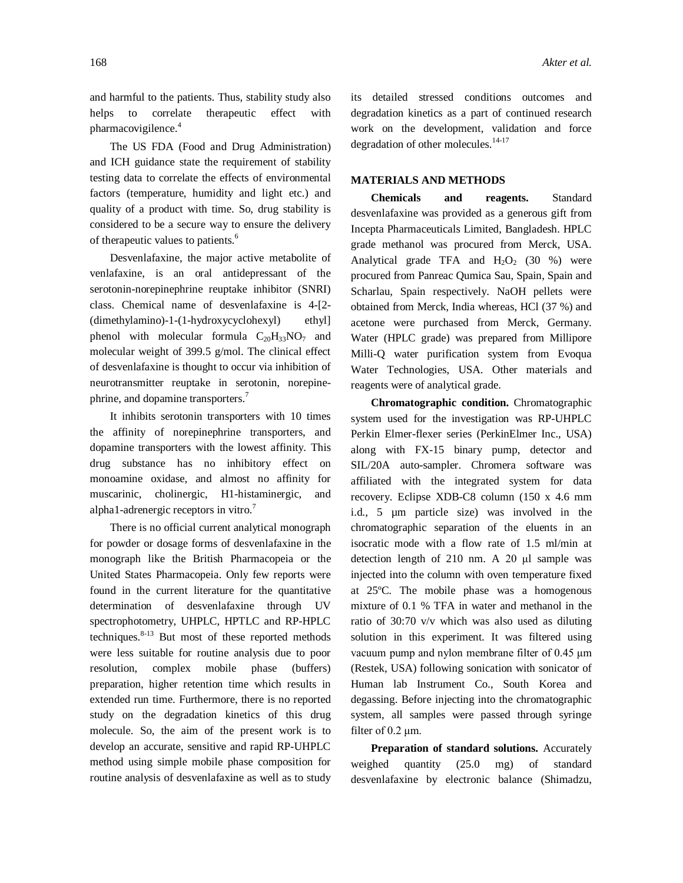and harmful to the patients. Thus, stability study also helps to correlate therapeutic effect with pharmacovigilence.<sup>4</sup>

The US FDA (Food and Drug Administration) and ICH guidance state the requirement of stability testing data to correlate the effects of environmental factors (temperature, humidity and light etc.) and quality of a product with time. So, drug stability is considered to be a secure way to ensure the delivery of therapeutic values to patients.<sup>6</sup>

Desvenlafaxine, the major active metabolite of venlafaxine, is an oral antidepressant of the serotonin-norepinephrine reuptake inhibitor (SNRI) class. Chemical name of desvenlafaxine is 4-[2- (dimethylamino)-1-(1-hydroxycyclohexyl) ethyl] phenol with molecular formula  $C_{20}H_{33}NO_7$  and molecular weight of 399.5 g/mol. The clinical effect of desvenlafaxine is thought to occur via inhibition of neurotransmitter reuptake in serotonin, norepinephrine, and dopamine transporters.<sup>7</sup>

It inhibits serotonin transporters with 10 times the affinity of norepinephrine transporters, and dopamine transporters with the lowest affinity. This drug substance has no inhibitory effect on monoamine oxidase, and almost no affinity for muscarinic, cholinergic, H1-histaminergic, and alpha1-adrenergic receptors in vitro.<sup>7</sup>

There is no official current analytical monograph for powder or dosage forms of desvenlafaxine in the monograph like the British Pharmacopeia or the United States Pharmacopeia. Only few reports were found in the current literature for the quantitative determination of desvenlafaxine through UV spectrophotometry, UHPLC, HPTLC and RP-HPLC techniques. $8-13$  But most of these reported methods were less suitable for routine analysis due to poor resolution, complex mobile phase (buffers) preparation, higher retention time which results in extended run time. Furthermore, there is no reported study on the degradation kinetics of this drug molecule. So, the aim of the present work is to develop an accurate, sensitive and rapid RP-UHPLC method using simple mobile phase composition for routine analysis of desvenlafaxine as well as to study

its detailed stressed conditions outcomes and degradation kinetics as a part of continued research work on the development, validation and force degradation of other molecules.<sup>14-17</sup>

### **MATERIALS AND METHODS**

**Chemicals and reagents.** Standard desvenlafaxine was provided as a generous gift from Incepta Pharmaceuticals Limited, Bangladesh. HPLC grade methanol was procured from Merck, USA. Analytical grade TFA and  $H_2O_2$  (30 %) were procured from Panreac Qumica Sau, Spain, Spain and Scharlau, Spain respectively. NaOH pellets were obtained from Merck, India whereas, HCl (37 %) and acetone were purchased from Merck, Germany. Water (HPLC grade) was prepared from Millipore Milli-Q water purification system from Evoqua Water Technologies, USA. Other materials and reagents were of analytical grade.

**Chromatographic condition.** Chromatographic system used for the investigation was RP-UHPLC Perkin Elmer-flexer series (PerkinElmer Inc., USA) along with FX-15 binary pump, detector and SIL/20A auto-sampler. Chromera software was affiliated with the integrated system for data recovery. Eclipse XDB-C8 column (150 x 4.6 mm i.d., 5 µm particle size) was involved in the chromatographic separation of the eluents in an isocratic mode with a flow rate of 1.5 ml/min at detection length of 210 nm. A 20 μl sample was injected into the column with oven temperature fixed at 25ºC. The mobile phase was a homogenous mixture of 0.1 % TFA in water and methanol in the ratio of 30:70 v/v which was also used as diluting solution in this experiment. It was filtered using vacuum pump and nylon membrane filter of 0.45 μm (Restek, USA) following sonication with sonicator of Human lab Instrument Co., South Korea and degassing. Before injecting into the chromatographic system, all samples were passed through syringe filter of 0.2 μm.

**Preparation of standard solutions.** Accurately weighed quantity (25.0 mg) of standard desvenlafaxine by electronic balance (Shimadzu,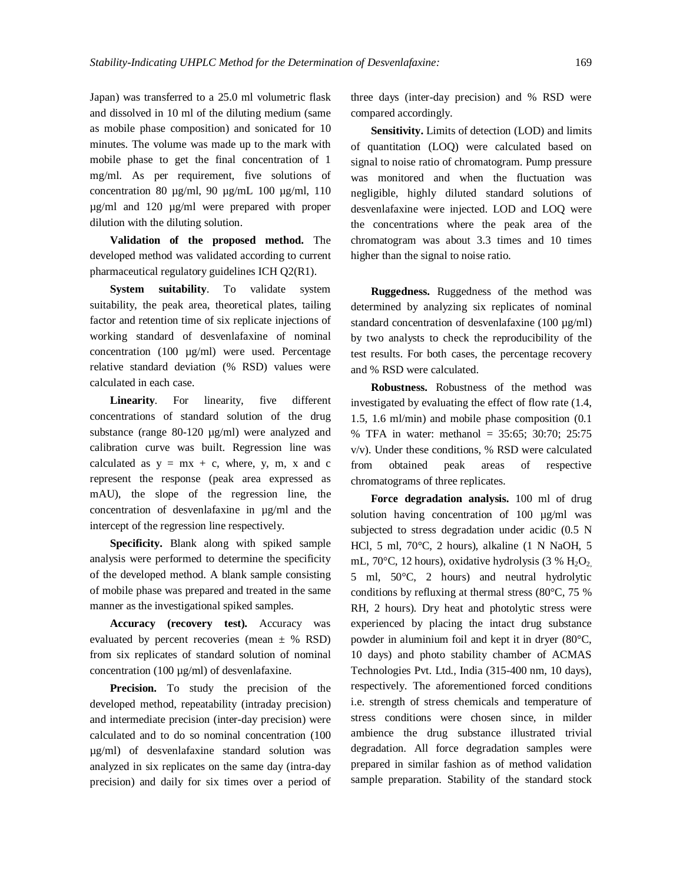Japan) was transferred to a 25.0 ml volumetric flask and dissolved in 10 ml of the diluting medium (same as mobile phase composition) and sonicated for 10 minutes. The volume was made up to the mark with mobile phase to get the final concentration of 1 mg/ml. As per requirement, five solutions of concentration 80  $\mu$ g/ml, 90  $\mu$ g/mL 100  $\mu$ g/ml, 110 µg/ml and 120 µg/ml were prepared with proper dilution with the diluting solution.

**Validation of the proposed method.** The developed method was validated according to current pharmaceutical regulatory guidelines ICH Q2(R1).

**System suitability**. To validate system suitability, the peak area, theoretical plates, tailing factor and retention time of six replicate injections of working standard of desvenlafaxine of nominal concentration (100 µg/ml) were used. Percentage relative standard deviation (% RSD) values were calculated in each case.

**Linearity**. For linearity, five different concentrations of standard solution of the drug substance (range 80-120  $\mu$ g/ml) were analyzed and calibration curve was built. Regression line was calculated as  $y = mx + c$ , where, y, m, x and c represent the response (peak area expressed as mAU), the slope of the regression line, the concentration of desvenlafaxine in µg/ml and the intercept of the regression line respectively.

**Specificity.** Blank along with spiked sample analysis were performed to determine the specificity of the developed method. A blank sample consisting of mobile phase was prepared and treated in the same manner as the investigational spiked samples.

**Accuracy (recovery test).** Accuracy was evaluated by percent recoveries (mean  $\pm$  % RSD) from six replicates of standard solution of nominal concentration (100 µg/ml) of desvenlafaxine.

Precision. To study the precision of the developed method, repeatability (intraday precision) and intermediate precision (inter-day precision) were calculated and to do so nominal concentration (100 µg/ml) of desvenlafaxine standard solution was analyzed in six replicates on the same day (intra-day precision) and daily for six times over a period of three days (inter-day precision) and % RSD were compared accordingly.

**Sensitivity.** Limits of detection (LOD) and limits of quantitation (LOQ) were calculated based on signal to noise ratio of chromatogram. Pump pressure was monitored and when the fluctuation was negligible, highly diluted standard solutions of desvenlafaxine were injected. LOD and LOQ were the concentrations where the peak area of the chromatogram was about 3.3 times and 10 times higher than the signal to noise ratio.

**Ruggedness.** Ruggedness of the method was determined by analyzing six replicates of nominal standard concentration of desvenlafaxine (100 µg/ml) by two analysts to check the reproducibility of the test results. For both cases, the percentage recovery and % RSD were calculated.

**Robustness.** Robustness of the method was investigated by evaluating the effect of flow rate (1.4, 1.5, 1.6 ml/min) and mobile phase composition (0.1 % TFA in water: methanol = 35:65; 30:70; 25:75 v/v). Under these conditions, % RSD were calculated from obtained peak areas of respective chromatograms of three replicates.

**Force degradation analysis.** 100 ml of drug solution having concentration of 100  $\mu$ g/ml was subjected to stress degradation under acidic (0.5 N HCl, 5 ml, 70°C, 2 hours), alkaline (1 N NaOH, 5 mL, 70 $\degree$ C, 12 hours), oxidative hydrolysis (3 % H<sub>2</sub>O<sub>2</sub>) 5 ml, 50°C, 2 hours) and neutral hydrolytic conditions by refluxing at thermal stress (80°C, 75 % RH, 2 hours). Dry heat and photolytic stress were experienced by placing the intact drug substance powder in aluminium foil and kept it in dryer (80°C, 10 days) and photo stability chamber of ACMAS Technologies Pvt. Ltd., India (315-400 nm, 10 days), respectively. The aforementioned forced conditions i.e. strength of stress chemicals and temperature of stress conditions were chosen since, in milder ambience the drug substance illustrated trivial degradation. All force degradation samples were prepared in similar fashion as of method validation sample preparation. Stability of the standard stock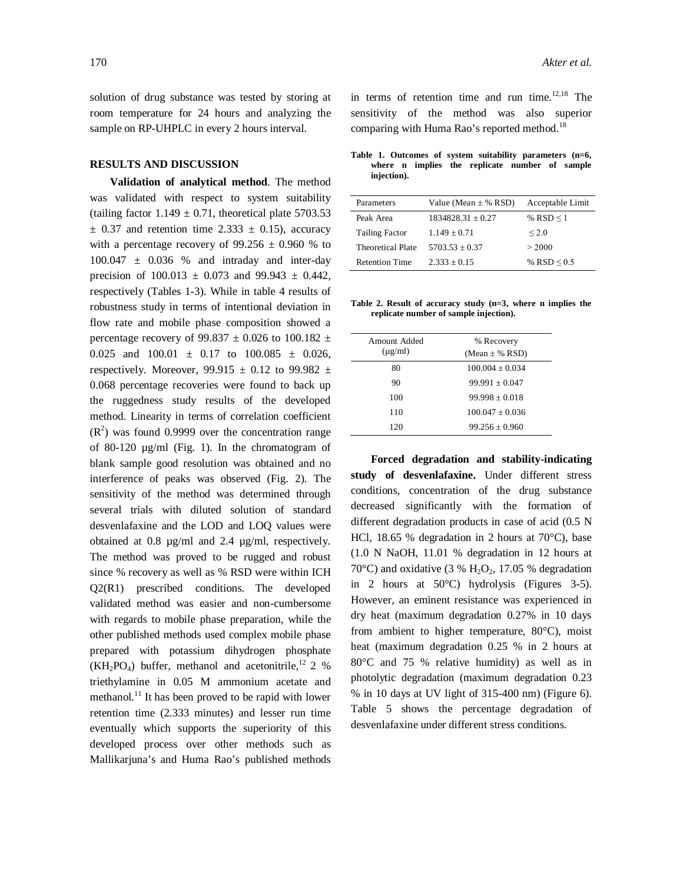solution of drug substance was tested by storing at room temperature for 24 hours and analyzing the sample on RP-UHPLC in every 2 hours interval.

## **RESULTS AND DISCUSSION**

**Validation of analytical method**. The method was validated with respect to system suitability (tailing factor  $1.149 \pm 0.71$ , theoretical plate 5703.53  $\pm$  0.37 and retention time 2.333  $\pm$  0.15), accuracy with a percentage recovery of  $99.256 \pm 0.960$  % to  $100.047 \pm 0.036$  % and intraday and inter-day precision of  $100.013 \pm 0.073$  and  $99.943 \pm 0.442$ , respectively (Tables 1-3). While in table 4 results of robustness study in terms of intentional deviation in flow rate and mobile phase composition showed a percentage recovery of 99.837  $\pm$  0.026 to 100.182  $\pm$ 0.025 and  $100.01 \pm 0.17$  to  $100.085 \pm 0.026$ , respectively. Moreover, 99.915  $\pm$  0.12 to 99.982  $\pm$ 0.068 percentage recoveries were found to back up the ruggedness study results of the developed method. Linearity in terms of correlation coefficient  $(R<sup>2</sup>)$  was found 0.9999 over the concentration range of 80-120 µg/ml (Fig. 1). In the chromatogram of blank sample good resolution was obtained and no interference of peaks was observed (Fig. 2). The sensitivity of the method was determined through several trials with diluted solution of standard desvenlafaxine and the LOD and LOQ values were obtained at 0.8 µg/ml and 2.4 µg/ml, respectively. The method was proved to be rugged and robust since % recovery as well as % RSD were within ICH Q2(R1) prescribed conditions. The developed validated method was easier and non-cumbersome with regards to mobile phase preparation, while the other published methods used complex mobile phase prepared with potassium dihydrogen phosphate  $(KH_2PO_4)$  buffer, methanol and acetonitrile,<sup>12</sup> 2 % triethylamine in 0.05 M ammonium acetate and methanol.<sup>11</sup> It has been proved to be rapid with lower retention time (2.333 minutes) and lesser run time eventually which supports the superiority of this developed process over other methods such as Mallikarjuna's and Huma Rao's published methods

in terms of retention time and run time. $12,18$  The sensitivity of the method was also superior comparing with Huma Rao's reported method.<sup>18</sup>

**Table 1. Outcomes of system suitability parameters (n=6, where n implies the replicate number of sample injection).**

| Parameters            | Value (Mean $\pm$ % RSD) | Acceptable Limit |
|-----------------------|--------------------------|------------------|
| Peak Area             | $1834828.31 \pm 0.27$    | % RSD $\leq$ 1   |
| <b>Tailing Factor</b> | $1.149 \pm 0.71$         | < 2.0            |
| Theoretical Plate     | $5703.53 + 0.37$         | > 2000           |
| <b>Retention Time</b> | $2.333 + 0.15$           | % RSD $\leq 0.5$ |

**Table 2. Result of accuracy study (n=3, where n implies the replicate number of sample injection).**

| Amount Added | % Recovery          |
|--------------|---------------------|
| $(\mu$ g/ml) | $(Mean \pm \% RSD)$ |
| 80           | $100.004 + 0.034$   |
| 90           | $99.991 + 0.047$    |
| 100          | $99.998 + 0.018$    |
| 110          | $100.047 + 0.036$   |
| 120          | $99.256 + 0.960$    |

**Forced degradation and stability-indicating study of desvenlafaxine.** Under different stress conditions, concentration of the drug substance decreased significantly with the formation of different degradation products in case of acid (0.5 N HCl, 18.65 % degradation in 2 hours at 70°C), base (1.0 N NaOH, 11.01 % degradation in 12 hours at 70 $\rm{°C}$ ) and oxidative (3 % H<sub>2</sub>O<sub>2</sub>, 17.05 % degradation in 2 hours at 50°C) hydrolysis (Figures 3-5). However, an eminent resistance was experienced in dry heat (maximum degradation 0.27% in 10 days from ambient to higher temperature, 80°C), moist heat (maximum degradation 0.25 % in 2 hours at 80°C and 75 % relative humidity) as well as in photolytic degradation (maximum degradation 0.23 % in 10 days at UV light of 315-400 nm) (Figure 6). Table 5 shows the percentage degradation of desvenlafaxine under different stress conditions.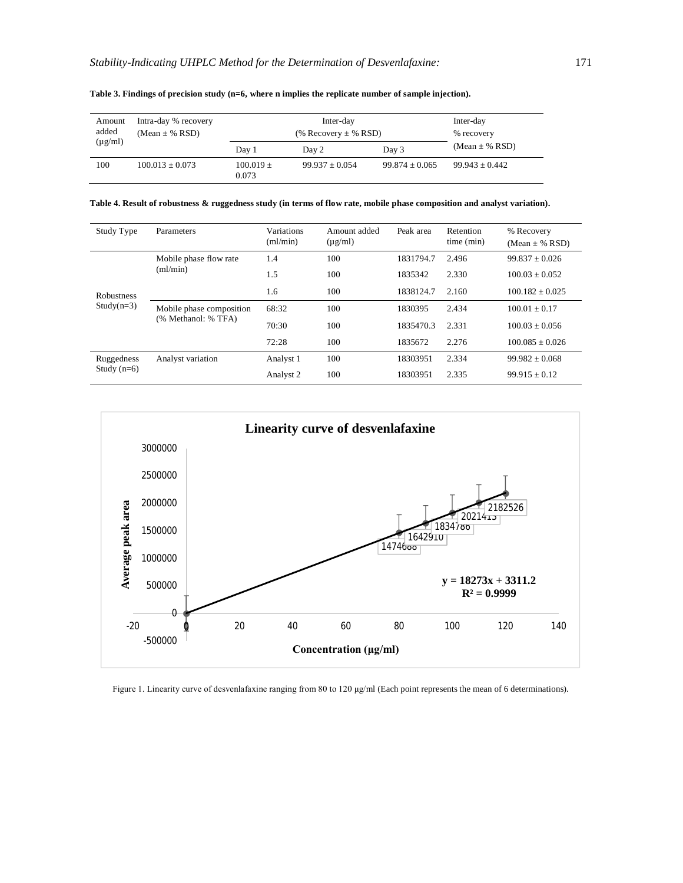| Amount<br>added | Intra-day % recovery<br>$(Mean \pm \% RSD)$ | Inter-day<br>(% Recovery $\pm$ % RSD) |                  |                  | Inter-day<br>% recovery |  |
|-----------------|---------------------------------------------|---------------------------------------|------------------|------------------|-------------------------|--|
| $(\mu g/ml)$    |                                             | Day 1                                 | Day 2            | Day 3            | $(Mean \pm \% RSD)$     |  |
| 100             | $100.013 \pm 0.073$                         | $100.019 +$<br>0.073                  | $99.937 + 0.054$ | $99.874 + 0.065$ | $99.943 \pm 0.442$      |  |

**Table 3. Findings of precision study (n=6, where n implies the replicate number of sample injection).**

**Table 4. Result of robustness & ruggedness study (in terms of flow rate, mobile phase composition and analyst variation).**

| Study Type        | Parameters                                      | Variations<br>(ml/min) | Amount added<br>$(\mu g/ml)$ | Peak area | Retention<br>time (min) | % Recovery<br>$(Mean \pm \% RSD)$ |
|-------------------|-------------------------------------------------|------------------------|------------------------------|-----------|-------------------------|-----------------------------------|
|                   | Mobile phase flow rate                          | 1.4                    | 100                          | 1831794.7 | 2.496                   | $99.837 + 0.026$                  |
|                   | $m/m$ in                                        | 1.5                    | 100                          | 1835342   | 2.330                   | $100.03 + 0.052$                  |
| <b>Robustness</b> |                                                 | 1.6                    | 100                          | 1838124.7 | 2.160                   | $100.182 \pm 0.025$               |
| $Study(n=3)$      | Mobile phase composition<br>(% Methanol: % TFA) | 68:32                  | 100                          | 1830395   | 2.434                   | $100.01 + 0.17$                   |
|                   |                                                 | 70:30                  | 100                          | 1835470.3 | 2.331                   | $100.03 + 0.056$                  |
|                   |                                                 | 72:28                  | 100                          | 1835672   | 2.276                   | $100.085 + 0.026$                 |
| Ruggedness        | Analyst variation                               | Analyst 1              | 100                          | 18303951  | 2.334                   | $99.982 + 0.068$                  |
| Study $(n=6)$     |                                                 | Analyst 2              | 100                          | 18303951  | 2.335                   | $99.915 \pm 0.12$                 |



Figure 1. Linearity curve of desvenlafaxine ranging from 80 to 120 μg/ml (Each point represents the mean of 6 determinations).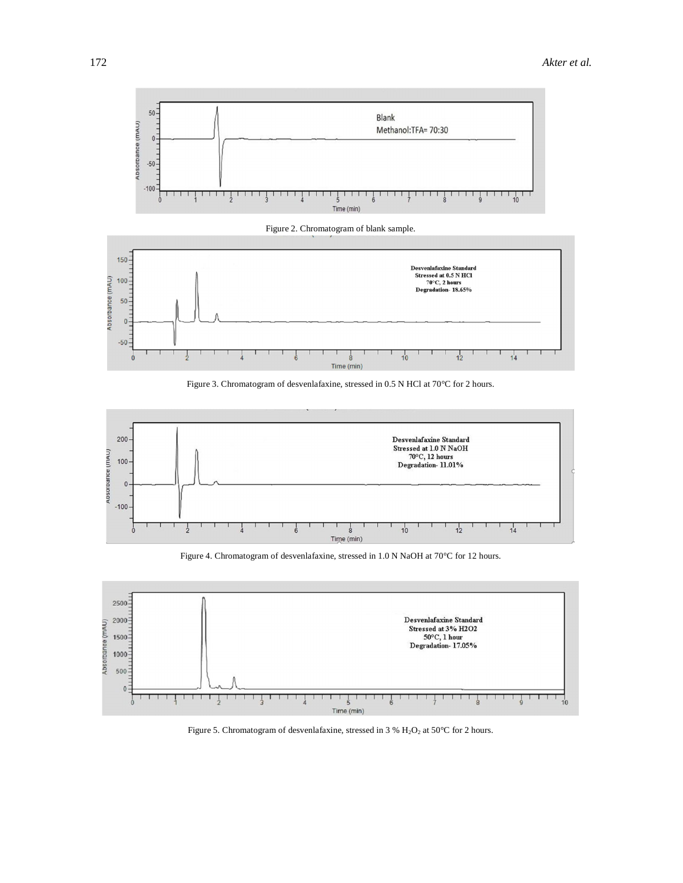

Figure 2. Chromatogram of blank sample.



Figure 3. Chromatogram of desvenlafaxine, stressed in 0.5 N HCl at 70°C for 2 hours.



Figure 4. Chromatogram of desvenlafaxine, stressed in 1.0 N NaOH at 70°C for 12 hours.



Figure 5. Chromatogram of desvenlafaxine, stressed in 3 %  $\rm H_{2}O_{2}$  at 50°C for 2 hours.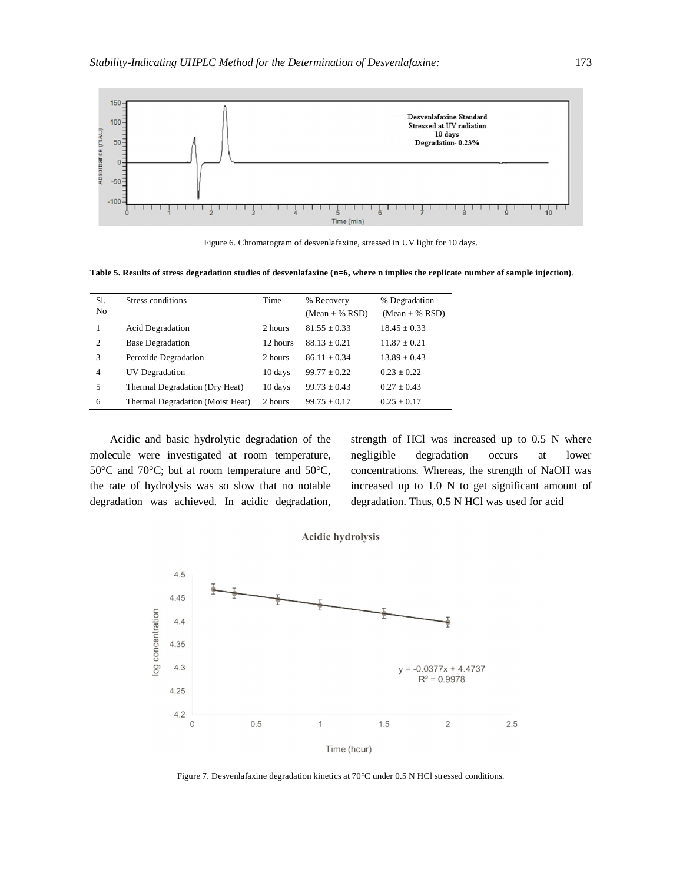

Figure 6. Chromatogram of desvenlafaxine, stressed in UV light for 10 days.

**Table 5. Results of stress degradation studies of desvenlafaxine (n=6, where n implies the replicate number of sample injection)**.

| Sl.<br>N <sub>0</sub> | Stress conditions                | Time     | % Recovery<br>(Mean $\pm$ % RSD) | % Degradation<br>$(Mean \pm \% RSD)$ |
|-----------------------|----------------------------------|----------|----------------------------------|--------------------------------------|
|                       | <b>Acid Degradation</b>          | 2 hours  | $81.55 + 0.33$                   | $18.45 + 0.33$                       |
| 2                     | <b>Base Degradation</b>          | 12 hours | $88.13 + 0.21$                   | $11.87 + 0.21$                       |
| 3                     | Peroxide Degradation             | 2 hours  | $86.11 + 0.34$                   | $13.89 + 0.43$                       |
| $\overline{4}$        | UV Degradation                   | 10 days  | $99.77 + 0.22$                   | $0.23 \pm 0.22$                      |
| 5                     | Thermal Degradation (Dry Heat)   | 10 days  | $99.73 + 0.43$                   | $0.27 + 0.43$                        |
| 6                     | Thermal Degradation (Moist Heat) | 2 hours  | $99.75 \pm 0.17$                 | $0.25 \pm 0.17$                      |

Acidic and basic hydrolytic degradation of the molecule were investigated at room temperature, 50°C and 70°C; but at room temperature and 50°C, the rate of hydrolysis was so slow that no notable degradation was achieved. In acidic degradation,

strength of HCl was increased up to 0.5 N where negligible degradation occurs at lower concentrations. Whereas, the strength of NaOH was increased up to 1.0 N to get significant amount of degradation. Thus, 0.5 N HCl was used for acid





Figure 7. Desvenlafaxine degradation kinetics at 70°C under 0.5 N HCl stressed conditions.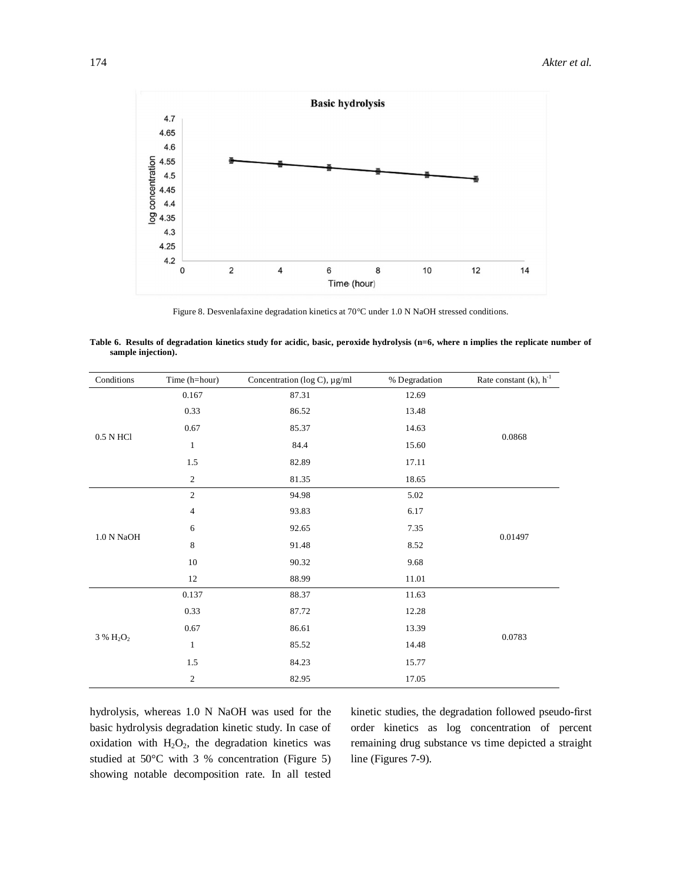

Figure 8. Desvenlafaxine degradation kinetics at 70°C under 1.0 N NaOH stressed conditions.

| Table 6. Results of degradation kinetics study for acidic, basic, peroxide hydrolysis (n=6, where n implies the replicate number of |  |  |  |  |  |
|-------------------------------------------------------------------------------------------------------------------------------------|--|--|--|--|--|
| sample injection).                                                                                                                  |  |  |  |  |  |

| Conditions        | Time (h=hour)  | Concentration (log C), µg/ml | % Degradation | Rate constant $(k)$ , $h^{-1}$ |
|-------------------|----------------|------------------------------|---------------|--------------------------------|
|                   | 0.167          | 87.31                        | 12.69         |                                |
|                   | 0.33           | 86.52                        | 13.48         |                                |
|                   | $0.67\,$       | 85.37                        | 14.63         |                                |
| $0.5$ N HCl $\,$  | $\mathbf{1}$   | 84.4                         | 15.60         | 0.0868                         |
|                   | 1.5            | 82.89                        | 17.11         |                                |
|                   | $\sqrt{2}$     | 81.35                        | 18.65         |                                |
|                   | $\overline{2}$ | 94.98                        | 5.02          |                                |
|                   | 4              | 93.83                        | 6.17          |                                |
|                   | 6              | 92.65                        | 7.35          |                                |
| $1.0$ N NaOH $\,$ | 8              | 91.48                        | 8.52          | 0.01497                        |
|                   | $10\,$         | 90.32                        | 9.68          |                                |
|                   | 12             | 88.99                        | 11.01         |                                |
|                   | 0.137          | 88.37                        | 11.63         |                                |
|                   | 0.33           | 87.72                        | 12.28         |                                |
| $3~\%~H_2O_2$     | 0.67           | 86.61                        | 13.39         |                                |
|                   | $\mathbf{1}$   | 85.52                        | 14.48         | 0.0783                         |
|                   | 1.5            | 84.23                        | 15.77         |                                |
|                   | $\sqrt{2}$     | 82.95                        | 17.05         |                                |

hydrolysis, whereas 1.0 N NaOH was used for the basic hydrolysis degradation kinetic study. In case of oxidation with  $H_2O_2$ , the degradation kinetics was studied at 50°C with 3 % concentration (Figure 5) showing notable decomposition rate. In all tested

kinetic studies, the degradation followed pseudo-first order kinetics as log concentration of percent remaining drug substance vs time depicted a straight line (Figures 7-9).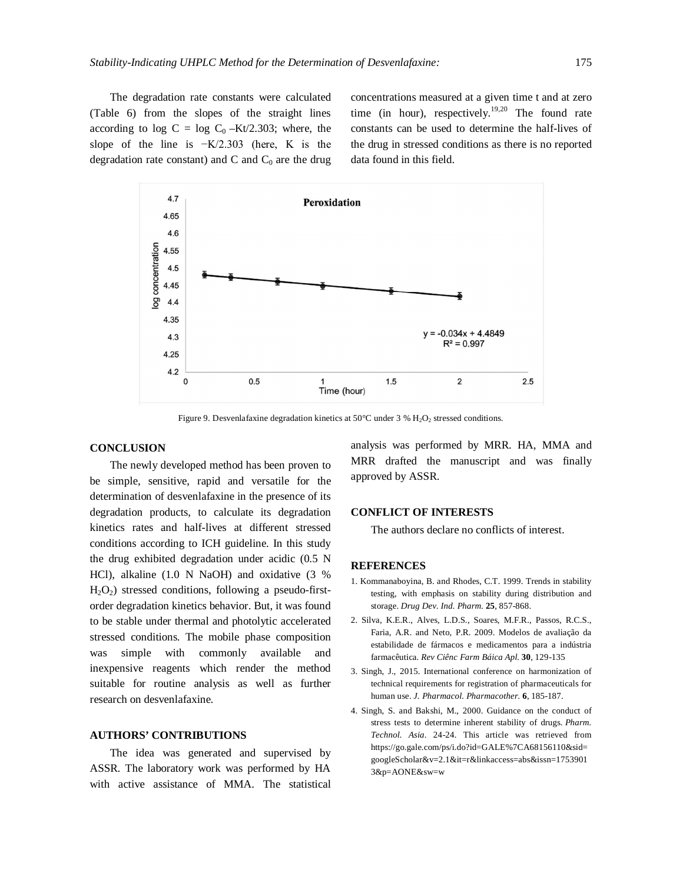The degradation rate constants were calculated (Table 6) from the slopes of the straight lines according to log C = log  $C_0 - Kt/2.303$ ; where, the slope of the line is −K/2.303 (here, K is the degradation rate constant) and C and  $C_0$  are the drug

concentrations measured at a given time t and at zero time (in hour), respectively.<sup>19,20</sup> The found rate constants can be used to determine the half-lives of the drug in stressed conditions as there is no reported data found in this field.



Figure 9. Desvenlafaxine degradation kinetics at 50°C under 3 %  $H_2O_2$  stressed conditions.

# **CONCLUSION**

The newly developed method has been proven to be simple, sensitive, rapid and versatile for the determination of desvenlafaxine in the presence of its degradation products, to calculate its degradation kinetics rates and half-lives at different stressed conditions according to ICH guideline. In this study the drug exhibited degradation under acidic (0.5 N HCl), alkaline (1.0 N NaOH) and oxidative (3 %  $H_2O_2$ ) stressed conditions, following a pseudo-firstorder degradation kinetics behavior. But, it was found to be stable under thermal and photolytic accelerated stressed conditions. The mobile phase composition was simple with commonly available and inexpensive reagents which render the method suitable for routine analysis as well as further research on desvenlafaxine.

### **AUTHORS' CONTRIBUTIONS**

The idea was generated and supervised by ASSR. The laboratory work was performed by HA with active assistance of MMA. The statistical analysis was performed by MRR. HA, MMA and MRR drafted the manuscript and was finally approved by ASSR.

#### **CONFLICT OF INTERESTS**

The authors declare no conflicts of interest.

#### **REFERENCES**

- 1. Kommanaboyina, B. and Rhodes, C.T. 1999. Trends in stability testing, with emphasis on stability during distribution and storage. *Drug Dev. Ind. Pharm.* **25**, 857-868.
- 2. Silva, K.E.R., Alves, L.D.S., Soares, M.F.R., Passos, R.C.S., Faria, A.R. and Neto, P.R. 2009. Modelos de avaliação da estabilidade de fármacos e medicamentos para a indústria farmacêutica. *Rev Ciênc Farm Báica Apl.* **30**, 129-135
- 3. Singh, J., 2015. International conference on harmonization of technical requirements for registration of pharmaceuticals for human use. *J. Pharmacol. Pharmacother.* **6**, 185-187.
- 4. Singh, S. and Bakshi, M., 2000. Guidance on the conduct of stress tests to determine inherent stability of drugs. *Pharm. Technol. Asia*. 24-24. This article was retrieved from <https://go.gale.com/ps/i.do?id=GALE%7CA68156110&sid=> googleScholar&v=2.1&it=r&linkaccess=abs&issn=1753901 3&p=AONE&sw=w